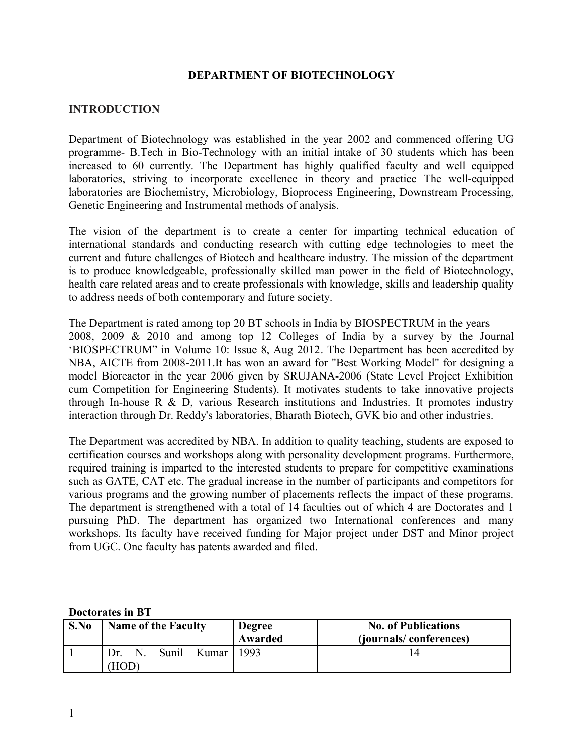#### **DEPARTMENT OF BIOTECHNOLOGY**

#### **INTRODUCTION**

Department of Biotechnology was established in the year 2002 and commenced offering UG programme- B.Tech in Bio-Technology with an initial intake of 30 students which has been increased to 60 currently. The Department has highly qualified faculty and well equipped laboratories, striving to incorporate excellence in theory and practice The well-equipped laboratories are Biochemistry, Microbiology, Bioprocess Engineering, Downstream Processing, Genetic Engineering and Instrumental methods of analysis.

The vision of the department is to create a center for imparting technical education of international standards and conducting research with cutting edge technologies to meet the current and future challenges of Biotech and healthcare industry. The mission of the department is to produce knowledgeable, professionally skilled man power in the field of Biotechnology, health care related areas and to create professionals with knowledge, skills and leadership quality to address needs of both contemporary and future society.

The Department is rated among top 20 BT schools in India by BIOSPECTRUM in the years 2008, 2009 & 2010 and among top 12 Colleges of India by a survey by the Journal 'BIOSPECTRUM" in Volume 10: Issue 8, Aug 2012. The Department has been accredited by NBA, AICTE from 2008-2011.It has won an award for "Best Working Model" for designing a model Bioreactor in the year 2006 given by SRUJANA-2006 (State Level Project Exhibition cum Competition for Engineering Students). It motivates students to take innovative projects through In-house R & D, various Research institutions and Industries. It promotes industry interaction through Dr. Reddy's laboratories, Bharath Biotech, GVK bio and other industries.

The Department was accredited by NBA. In addition to quality teaching, students are exposed to certification courses and workshops along with personality development programs. Furthermore, required training is imparted to the interested students to prepare for competitive examinations such as GATE, CAT etc. The gradual increase in the number of participants and competitors for various programs and the growing number of placements reflects the impact of these programs. The department is strengthened with a total of 14 faculties out of which 4 are Doctorates and 1 pursuing PhD. The department has organized two International conferences and many workshops. Its faculty have received funding for Major project under DST and Minor project from UGC. One faculty has patents awarded and filed.

#### **Doctorates in BT**

| S.No | <b>Name of the Faculty</b>                       | <b>Degree</b><br><b>Awarded</b> | <b>No. of Publications</b><br>(journals/conferences) |  |  |
|------|--------------------------------------------------|---------------------------------|------------------------------------------------------|--|--|
|      | Sunil<br>Kumar <sup>1</sup><br>Dr.<br>N.<br>(HOD | 1993                            |                                                      |  |  |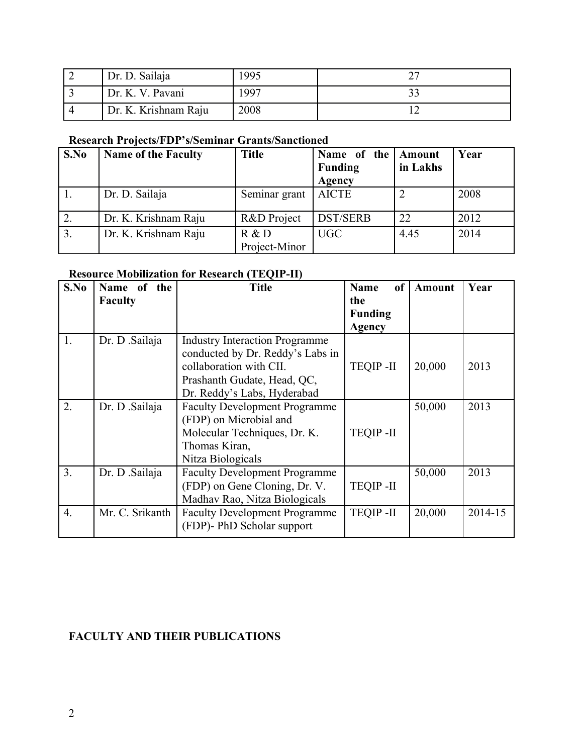| Dr. D. Sailaja       | 1995 |  |
|----------------------|------|--|
| Dr. K. V. Pavani     | 1997 |  |
| Dr. K. Krishnam Raju | 2008 |  |

## **Research Projects/FDP's/Seminar Grants/Sanctioned**

| S.No | <b>Name of the Faculty</b> | <b>Title</b>  | Name of the Amount<br><b>Funding</b> | in Lakhs | Year |
|------|----------------------------|---------------|--------------------------------------|----------|------|
|      |                            |               | Agency                               |          |      |
|      | Dr. D. Sailaja             | Seminar grant | <b>AICTE</b>                         |          | 2008 |
|      | Dr. K. Krishnam Raju       | R&D Project   | <b>DST/SERB</b>                      | 22       | 2012 |
| 3.   | Dr. K. Krishnam Raju       | R & D         | <b>UGC</b>                           | 4.45     | 2014 |
|      |                            | Project-Minor |                                      |          |      |

## **Resource Mobilization for Research (TEQIP-II)**

| S.No | Name of the     | <b>Title</b>                          | of<br>Name      | <b>Amount</b> | Year    |
|------|-----------------|---------------------------------------|-----------------|---------------|---------|
|      | <b>Faculty</b>  |                                       | the             |               |         |
|      |                 |                                       | <b>Funding</b>  |               |         |
|      |                 |                                       | <b>Agency</b>   |               |         |
| 1.   | Dr. D .Sailaja  | <b>Industry Interaction Programme</b> |                 |               |         |
|      |                 | conducted by Dr. Reddy's Labs in      |                 |               |         |
|      |                 | collaboration with CII.               | <b>TEQIP-II</b> | 20,000        | 2013    |
|      |                 | Prashanth Gudate, Head, QC,           |                 |               |         |
|      |                 | Dr. Reddy's Labs, Hyderabad           |                 |               |         |
| 2.   | Dr. D .Sailaja  | <b>Faculty Development Programme</b>  |                 | 50,000        | 2013    |
|      |                 | (FDP) on Microbial and                |                 |               |         |
|      |                 | Molecular Techniques, Dr. K.          | <b>TEQIP-II</b> |               |         |
|      |                 | Thomas Kiran,                         |                 |               |         |
|      |                 | Nitza Biologicals                     |                 |               |         |
| 3.   | Dr. D .Sailaja  | <b>Faculty Development Programme</b>  |                 | 50,000        | 2013    |
|      |                 | (FDP) on Gene Cloning, Dr. V.         | <b>TEQIP-II</b> |               |         |
|      |                 | Madhav Rao, Nitza Biologicals         |                 |               |         |
| 4.   | Mr. C. Srikanth | <b>Faculty Development Programme</b>  | <b>TEQIP-II</b> | 20,000        | 2014-15 |
|      |                 | (FDP)- PhD Scholar support            |                 |               |         |
|      |                 |                                       |                 |               |         |

# **FACULTY AND THEIR PUBLICATIONS**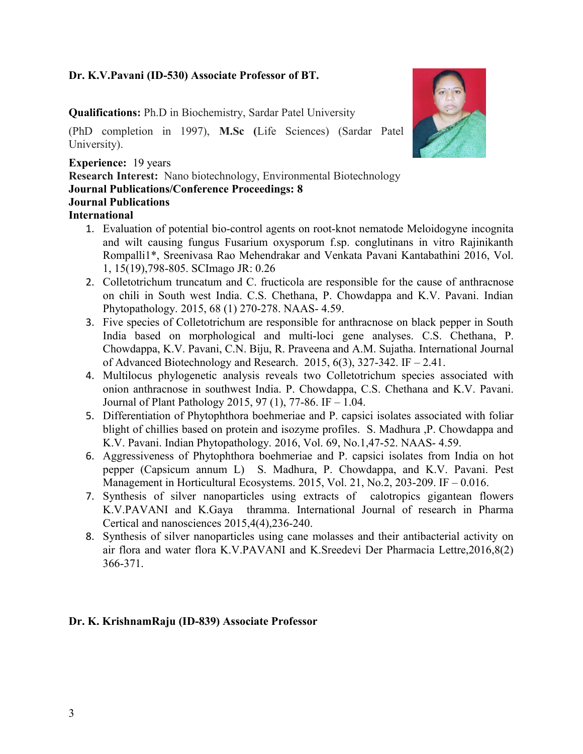### **Dr. K.V.Pavani (ID-530) Associate Professor of BT.**

**Qualifications:** Ph.D in Biochemistry, Sardar Patel University

(PhD completion in 1997), **M.Sc (**Life Sciences) (Sardar Patel University).

### **Experience:** 19 years

**Research Interest:** Nano biotechnology, Environmental Biotechnology **Journal Publications/Conference Proceedings: 8 Journal Publications International** 

- 1. Evaluation of potential bio-control agents on root-knot nematode Meloidogyne incognita and wilt causing fungus Fusarium oxysporum f.sp. conglutinans in vitro Rajinikanth Rompalli1\*, Sreenivasa Rao Mehendrakar and Venkata Pavani Kantabathini 2016, Vol. 1, 15(19),798-805. SCImago JR: 0.26
- 2. Colletotrichum truncatum and C. fructicola are responsible for the cause of anthracnose on chili in South west India. C.S. Chethana, P. Chowdappa and K.V. Pavani. Indian Phytopathology. 2015, 68 (1) 270-278. NAAS- 4.59.
- 3. Five species of Colletotrichum are responsible for anthracnose on black pepper in South India based on morphological and multi-loci gene analyses. C.S. Chethana, P. Chowdappa, K.V. Pavani, C.N. Biju, R. Praveena and A.M. Sujatha. International Journal of Advanced Biotechnology and Research. 2015,  $6(3)$ , 327-342. IF  $-$  2.41.
- 4. Multilocus phylogenetic analysis reveals two Colletotrichum species associated with onion anthracnose in southwest India. P. Chowdappa, C.S. Chethana and K.V. Pavani. Journal of Plant Pathology 2015, 97 (1), 77-86. IF – 1.04.
- 5. Differentiation of Phytophthora boehmeriae and P. capsici isolates associated with foliar blight of chillies based on protein and isozyme profiles. S. Madhura ,P. Chowdappa and K.V. Pavani. Indian Phytopathology. 2016, Vol. 69, No.1,47-52. NAAS- 4.59.
- 6. Aggressiveness of Phytophthora boehmeriae and P. capsici isolates from India on hot pepper (Capsicum annum L) S. Madhura, P. Chowdappa, and K.V. Pavani. Pest Management in Horticultural Ecosystems. 2015, Vol. 21, No.2, 203-209. IF – 0.016.
- 7. Synthesis of silver nanoparticles using extracts of calotropics gigantean flowers K.V.PAVANI and K.Gaya thramma. International Journal of research in Pharma Certical and nanosciences 2015,4(4),236-240.
- 8. Synthesis of silver nanoparticles using cane molasses and their antibacterial activity on air flora and water flora K.V.PAVANI and K.Sreedevi Der Pharmacia Lettre,2016,8(2) 366-371.

### **Dr. K. KrishnamRaju (ID-839) Associate Professor**

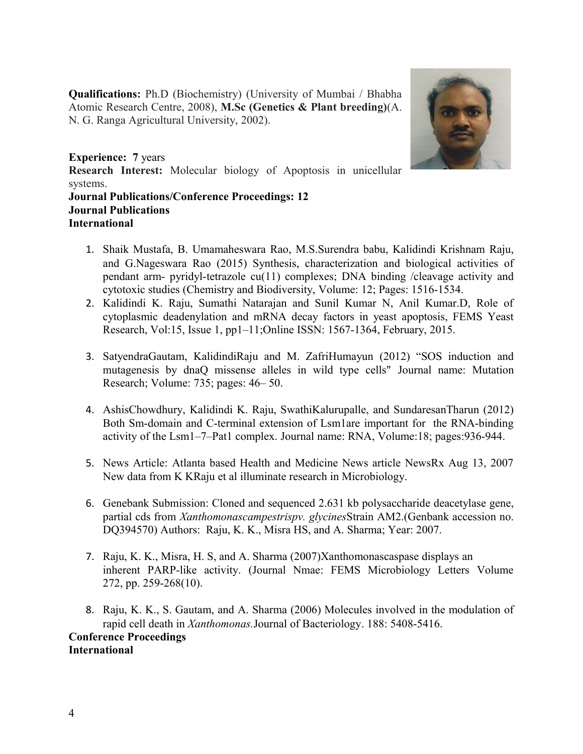**Qualifications:** Ph.D (Biochemistry) (University of Mumbai / Bhabha Atomic Research Centre, 2008), **M.Sc (Genetics & Plant breeding)**(A. N. G. Ranga Agricultural University, 2002).



**Experience: 7** years **Research Interest:** Molecular biology of Apoptosis in unicellular systems. **Journal Publications/Conference Proceedings: 12 Journal Publications International** 

- 1. Shaik Mustafa, B. Umamaheswara Rao, M.S.Surendra babu, Kalidindi Krishnam Raju, and G.Nageswara Rao (2015) Synthesis, characterization and biological activities of pendant arm- pyridyl-tetrazole cu(11) complexes; DNA binding /cleavage activity and cytotoxic studies (Chemistry and Biodiversity, Volume: 12; Pages: 1516-1534.
- 2. Kalidindi K. Raju, Sumathi Natarajan and Sunil Kumar N, Anil Kumar.D, Role of cytoplasmic deadenylation and mRNA decay factors in yeast apoptosis, FEMS Yeast Research, Vol:15, Issue 1, pp1–11;Online ISSN: 1567-1364, February, 2015.
- 3. SatyendraGautam, KalidindiRaju and M. ZafriHumayun (2012) "SOS induction and mutagenesis by dnaQ missense alleles in wild type cells" Journal name: Mutation Research; Volume: 735; pages: 46– 50.
- 4. AshisChowdhury, Kalidindi K. Raju, SwathiKalurupalle, and SundaresanTharun (2012) Both Sm-domain and C-terminal extension of Lsm1are important for the RNA-binding activity of the Lsm1–7–Pat1 complex. Journal name: RNA, Volume:18; pages:936-944.
- 5. News Article: Atlanta based Health and Medicine News article NewsRx Aug 13, 2007 New data from K KRaju et al illuminate research in Microbiology.
- 6. Genebank Submission: Cloned and sequenced 2.631 kb polysaccharide deacetylase gene, partial cds from *Xanthomonascampestrispv. glycines*Strain AM2.(Genbank accession no. DQ394570) Authors: Raju, K. K., Misra HS, and A. Sharma; Year: 2007.
- 7. Raju, K. K., Misra, H. S, and A. Sharma (2007)Xanthomonascaspase displays an inherent PARP-like activity. (Journal Nmae: FEMS Microbiology Letters Volume 272, pp. 259-268(10).
- 8. Raju, K. K., S. Gautam, and A. Sharma (2006) Molecules involved in the modulation of rapid cell death in *Xanthomonas.*Journal of Bacteriology. 188: 5408-5416. **Conference Proceedings International**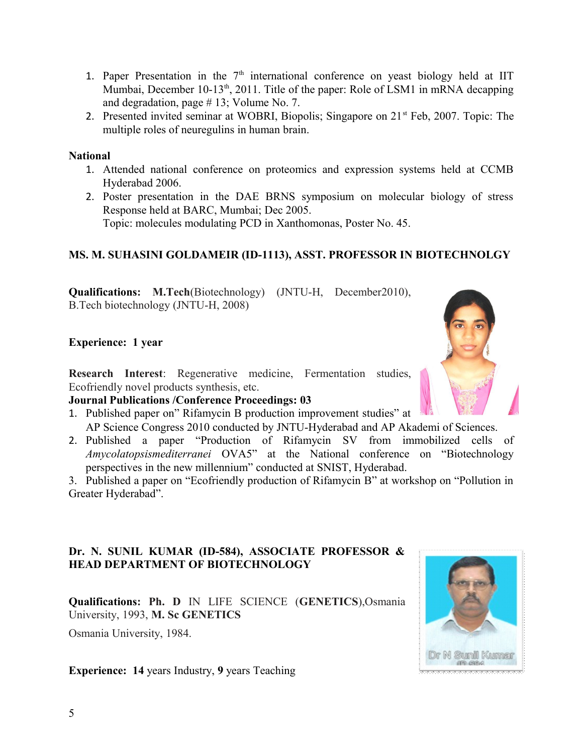- 1. Paper Presentation in the  $7<sup>th</sup>$  international conference on yeast biology held at IIT Mumbai, December 10-13<sup>th</sup>, 2011. Title of the paper: Role of LSM1 in mRNA decapping and degradation, page # 13; Volume No. 7.
- 2. Presented invited seminar at WOBRI, Biopolis; Singapore on 21<sup>st</sup> Feb, 2007. Topic: The multiple roles of neuregulins in human brain.

**National** 

- 1. Attended national conference on proteomics and expression systems held at CCMB Hyderabad 2006.
- 2. Poster presentation in the DAE BRNS symposium on molecular biology of stress Response held at BARC, Mumbai; Dec 2005. Topic: molecules modulating PCD in Xanthomonas, Poster No. 45.

## **MS. M. SUHASINI GOLDAMEIR (ID-1113), ASST. PROFESSOR IN BIOTECHNOLGY**

**Qualifications: M.Tech**(Biotechnology) (JNTU-H, December2010), B.Tech biotechnology (JNTU-H, 2008)

### **Experience: 1 year**

**Research Interest**: Regenerative medicine, Fermentation studies, Ecofriendly novel products synthesis, etc.

## **Journal Publications /Conference Proceedings: 03**

- 1. Published paper on" Rifamycin B production improvement studies" at AP Science Congress 2010 conducted by JNTU-Hyderabad and AP Akademi of Sciences.
- 2. Published a paper "Production of Rifamycin SV from immobilized cells of *Amycolatopsismediterranei* OVA5" at the National conference on "Biotechnology perspectives in the new millennium" conducted at SNIST, Hyderabad.

3. Published a paper on "Ecofriendly production of Rifamycin B" at workshop on "Pollution in Greater Hyderabad".

### **Dr. N. SUNIL KUMAR (ID-584), ASSOCIATE PROFESSOR & HEAD DEPARTMENT OF BIOTECHNOLOGY**

**Qualifications: Ph. D** IN LIFE SCIENCE (**GENETICS**),Osmania University, 1993, **M. Sc GENETICS**

Osmania University, 1984.

**Experience: 14** years Industry, **9** years Teaching



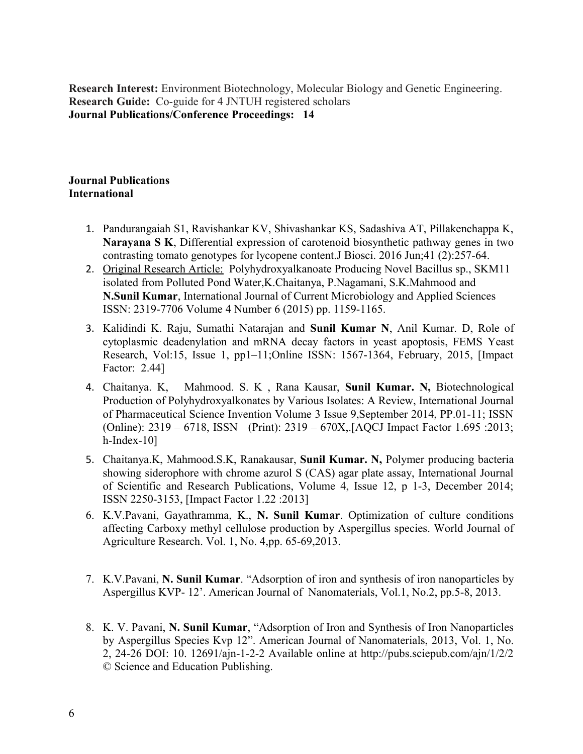**Research Interest:** Environment Biotechnology, Molecular Biology and Genetic Engineering. **Research Guide:** Co-guide for 4 JNTUH registered scholars **Journal Publications/Conference Proceedings: 14**

#### **Journal Publications International**

- 1. Pandurangaiah S1, Ravishankar KV, Shivashankar KS, Sadashiva AT, Pillakenchappa K, **Narayana S K**, Differential expression of carotenoid biosynthetic pathway genes in two contrasting tomato genotypes for lycopene content.J Biosci. 2016 Jun;41 (2):257-64.
- 2. Original Research Article: Polyhydroxyalkanoate Producing Novel Bacillus sp., SKM11 isolated from Polluted Pond Water,K.Chaitanya, P.Nagamani, S.K.Mahmood and **N.Sunil Kumar**, International Journal of Current Microbiology and Applied Sciences ISSN: 2319-7706 Volume 4 Number 6 (2015) pp. 1159-1165.
- 3. Kalidindi K. Raju, Sumathi Natarajan and **Sunil Kumar N**, Anil Kumar. D, Role of cytoplasmic deadenylation and mRNA decay factors in yeast apoptosis, FEMS Yeast Research, Vol:15, Issue 1, pp1–11;Online ISSN: 1567-1364, February, 2015, [Impact Factor: 2.44]
- 4. Chaitanya. K, Mahmood. S. K , Rana Kausar, **Sunil Kumar. N,** Biotechnological Production of Polyhydroxyalkonates by Various Isolates: A Review, International Journal of Pharmaceutical Science Invention Volume 3 Issue 9,September 2014, PP.01-11; ISSN (Online): 2319 – 6718, ISSN (Print): 2319 – 670X,.[AQCJ Impact Factor 1.695 :2013; h-Index-10]
- 5. Chaitanya.K, Mahmood.S.K, Ranakausar, **Sunil Kumar. N,** Polymer producing bacteria showing siderophore with chrome azurol S (CAS) agar plate assay, International Journal of Scientific and Research Publications, Volume 4, Issue 12, p 1-3, December 2014; ISSN 2250-3153, [Impact Factor 1.22 :2013]
- 6. K.V.Pavani, Gayathramma, K., **N. Sunil Kumar**. Optimization of culture conditions affecting Carboxy methyl cellulose production by Aspergillus species. World Journal of Agriculture Research. Vol. 1, No. 4,pp. 65-69,2013.
- 7. K.V.Pavani, **N. Sunil Kumar**. "Adsorption of iron and synthesis of iron nanoparticles by Aspergillus KVP- 12'. American Journal of Nanomaterials, Vol.1, No.2, pp.5-8, 2013.
- 8. K. V. Pavani, **N. Sunil Kumar**, "Adsorption of Iron and Synthesis of Iron Nanoparticles by Aspergillus Species Kvp 12". American Journal of Nanomaterials, 2013, Vol. 1, No. 2, 24-26 DOI: 10. 12691/ajn-1-2-2 Available online at http://pubs.sciepub.com/ajn/1/2/2 © Science and Education Publishing.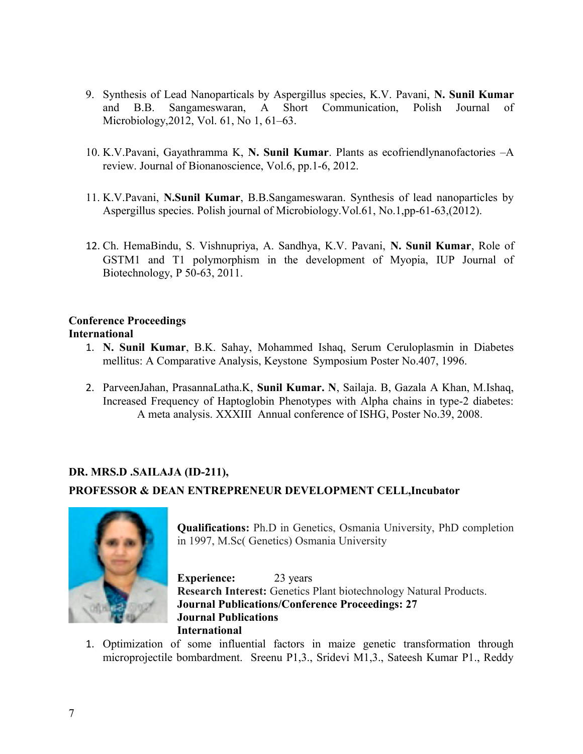- 9. Synthesis of Lead Nanoparticals by Aspergillus species, K.V. Pavani, **N. Sunil Kumar** and B.B. Sangameswaran, A Short Communication, Polish Journal of Microbiology,2012, Vol. 61, No 1, 61–63.
- 10. K.V.Pavani, Gayathramma K, **N. Sunil Kumar**. Plants as ecofriendlynanofactories –A review. Journal of Bionanoscience, Vol.6, pp.1-6, 2012.
- 11. K.V.Pavani, **N.Sunil Kumar**, B.B.Sangameswaran. Synthesis of lead nanoparticles by Aspergillus species. Polish journal of Microbiology.Vol.61, No.1,pp-61-63,(2012).
- 12. Ch. HemaBindu, S. Vishnupriya, A. Sandhya, K.V. Pavani, **N. Sunil Kumar**, Role of GSTM1 and T1 polymorphism in the development of Myopia, IUP Journal of Biotechnology, P 50-63, 2011.

## **Conference Proceedings International**

- 1. **N. Sunil Kumar**, B.K. Sahay, Mohammed Ishaq, Serum Ceruloplasmin in Diabetes mellitus: A Comparative Analysis, Keystone Symposium Poster No.407, 1996.
- 2. ParveenJahan, PrasannaLatha.K, **Sunil Kumar. N**, Sailaja. B, Gazala A Khan, M.Ishaq, Increased Frequency of Haptoglobin Phenotypes with Alpha chains in type-2 diabetes: A meta analysis. XXXIII Annual conference of ISHG, Poster No.39, 2008.

## **DR. MRS.D .SAILAJA (ID-211),**

### **PROFESSOR & DEAN ENTREPRENEUR DEVELOPMENT CELL,Incubator**



**Qualifications:** Ph.D in Genetics, Osmania University, PhD completion in 1997, M.Sc( Genetics) Osmania University

**Experience:** 23 years **Research Interest:** Genetics Plant biotechnology Natural Products. **Journal Publications/Conference Proceedings: 27 Journal Publications International** 

1. Optimization of some influential factors in maize genetic transformation through microprojectile bombardment. Sreenu P1,3., Sridevi M1,3., Sateesh Kumar P1., Reddy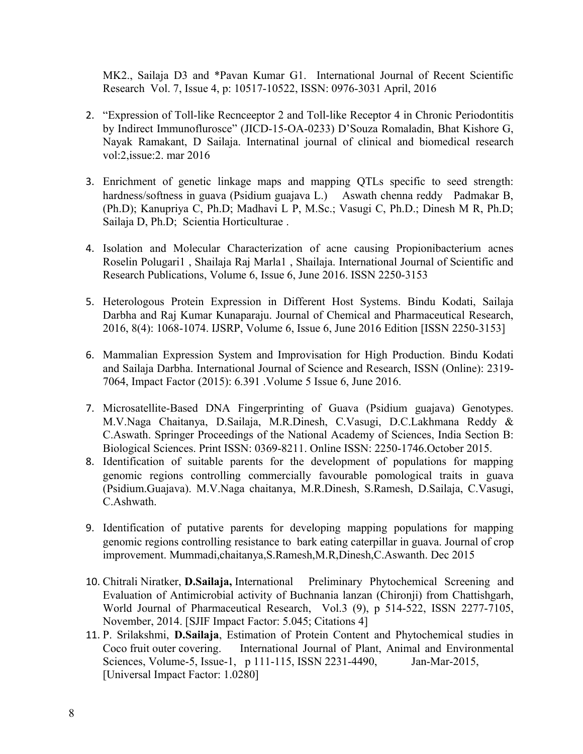MK2., Sailaja D3 and \*Pavan Kumar G1. International Journal of Recent Scientific Research Vol. 7, Issue 4, p: 10517-10522, ISSN: 0976-3031 April, 2016

- 2. "Expression of Toll-like Recnceeptor 2 and Toll-like Receptor 4 in Chronic Periodontitis by Indirect Immunoflurosce" (JICD-15-OA-0233) D'Souza Romaladin, Bhat Kishore G, Nayak Ramakant, D Sailaja. Internatinal journal of clinical and biomedical research vol:2,issue:2. mar 2016
- 3. Enrichment of genetic linkage maps and mapping QTLs specific to seed strength: hardness/softness in guava (Psidium guajava L.) Aswath chenna reddy Padmakar B, (Ph.D); Kanupriya C, Ph.D; Madhavi L P, M.Sc.; Vasugi C, Ph.D.; Dinesh M R, Ph.D; Sailaja D, Ph.D; Scientia Horticulturae .
- 4. Isolation and Molecular Characterization of acne causing Propionibacterium acnes Roselin Polugari1 , Shailaja Raj Marla1 , Shailaja. International Journal of Scientific and Research Publications, Volume 6, Issue 6, June 2016. ISSN 2250-3153
- 5. Heterologous Protein Expression in Different Host Systems. Bindu Kodati, Sailaja Darbha and Raj Kumar Kunaparaju. Journal of Chemical and Pharmaceutical Research, 2016, 8(4): 1068-1074. IJSRP, Volume 6, Issue 6, June 2016 Edition [ISSN 2250-3153]
- 6. Mammalian Expression System and Improvisation for High Production. Bindu Kodati and Sailaja Darbha. International Journal of Science and Research, ISSN (Online): 2319- 7064, Impact Factor (2015): 6.391 .Volume 5 Issue 6, June 2016.
- 7. Microsatellite-Based DNA Fingerprinting of Guava (Psidium guajava) Genotypes. M.V.Naga Chaitanya, D.Sailaja, M.R.Dinesh, C.Vasugi, D.C.Lakhmana Reddy & C.Aswath. Springer Proceedings of the National Academy of Sciences, India Section B: Biological Sciences. Print ISSN: 0369-8211. Online ISSN: 2250-1746.October 2015.
- 8. Identification of suitable parents for the development of populations for mapping genomic regions controlling commercially favourable pomological traits in guava (Psidium.Guajava). M.V.Naga chaitanya, M.R.Dinesh, S.Ramesh, D.Sailaja, C.Vasugi, C.Ashwath.
- 9. Identification of putative parents for developing mapping populations for mapping genomic regions controlling resistance to bark eating caterpillar in guava. Journal of crop improvement. Mummadi,chaitanya,S.Ramesh,M.R,Dinesh,C.Aswanth. Dec 2015
- 10. Chitrali Niratker, **D.Sailaja,** International Preliminary Phytochemical Screening and Evaluation of Antimicrobial activity of Buchnania lanzan (Chironji) from Chattishgarh, World Journal of Pharmaceutical Research, Vol.3 (9), p 514-522, ISSN 2277-7105, November, 2014. [SJIF Impact Factor: 5.045; Citations 4]
- 11. P. Srilakshmi, **D.Sailaja**, Estimation of Protein Content and Phytochemical studies in Coco fruit outer covering. International Journal of Plant, Animal and Environmental Sciences, Volume-5, Issue-1, p 111-115, ISSN 2231-4490, Jan-Mar-2015, [Universal Impact Factor: 1.0280]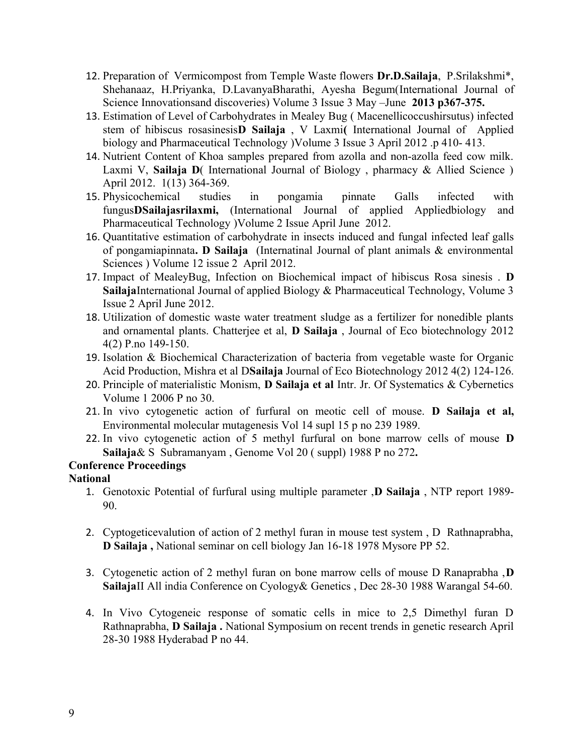- 12. Preparation of Vermicompost from Temple Waste flowers **Dr.D.Sailaja**, P.Srilakshmi\*, Shehanaaz, H.Priyanka, D.LavanyaBharathi, Ayesha Begum(International Journal of Science Innovationsand discoveries) Volume 3 Issue 3 May –June **2013 p367-375.**
- 13. Estimation of Level of Carbohydrates in Mealey Bug ( Macenellicoccushirsutus) infected stem of hibiscus rosasinesis**D Sailaja** , V Laxmi**(** International Journal of Applied biology and Pharmaceutical Technology )Volume 3 Issue 3 April 2012 .p 410- 413.
- 14. Nutrient Content of Khoa samples prepared from azolla and non-azolla feed cow milk. Laxmi V, **Sailaja D**( International Journal of Biology , pharmacy & Allied Science ) April 2012. 1(13) 364-369.
- 15. Physicochemical studies in pongamia pinnate Galls infected with fungus**DSailajasrilaxmi,** (International Journal of applied Appliedbiology and Pharmaceutical Technology )Volume 2 Issue April June 2012.
- 16. Quantitative estimation of carbohydrate in insects induced and fungal infected leaf galls of pongamiapinnata**. D Sailaja** (Internatinal Journal of plant animals & environmental Sciences ) Volume 12 issue 2 April 2012.
- 17. Impact of MealeyBug, Infection on Biochemical impact of hibiscus Rosa sinesis . **D Sailaja**International Journal of applied Biology & Pharmaceutical Technology, Volume 3 Issue 2 April June 2012.
- 18. Utilization of domestic waste water treatment sludge as a fertilizer for nonedible plants and ornamental plants. Chatterjee et al, **D Sailaja** , Journal of Eco biotechnology 2012 4(2) P.no 149-150.
- 19. Isolation & Biochemical Characterization of bacteria from vegetable waste for Organic Acid Production, Mishra et al D**Sailaja** Journal of Eco Biotechnology 2012 4(2) 124-126.
- 20. Principle of materialistic Monism, **D Sailaja et al** Intr. Jr. Of Systematics & Cybernetics Volume 1 2006 P no 30.
- 21. In vivo cytogenetic action of furfural on meotic cell of mouse. **D Sailaja et al,** Environmental molecular mutagenesis Vol 14 supl 15 p no 239 1989.
- 22. In vivo cytogenetic action of 5 methyl furfural on bone marrow cells of mouse **D Sailaja**& S Subramanyam , Genome Vol 20 ( suppl) 1988 P no 272**.**

## **Conference Proceedings**

## **National**

- 1. Genotoxic Potential of furfural using multiple parameter ,**D Sailaja** , NTP report 1989- 90.
- 2. Cyptogeticevalution of action of 2 methyl furan in mouse test system , D Rathnaprabha, **D Sailaja ,** National seminar on cell biology Jan 16-18 1978 Mysore PP 52.
- 3. Cytogenetic action of 2 methyl furan on bone marrow cells of mouse D Ranaprabha ,**D Sailaja**II All india Conference on Cyology& Genetics , Dec 28-30 1988 Warangal 54-60.
- 4. In Vivo Cytogeneic response of somatic cells in mice to 2,5 Dimethyl furan D Rathnaprabha, **D Sailaja .** National Symposium on recent trends in genetic research April 28-30 1988 Hyderabad P no 44.